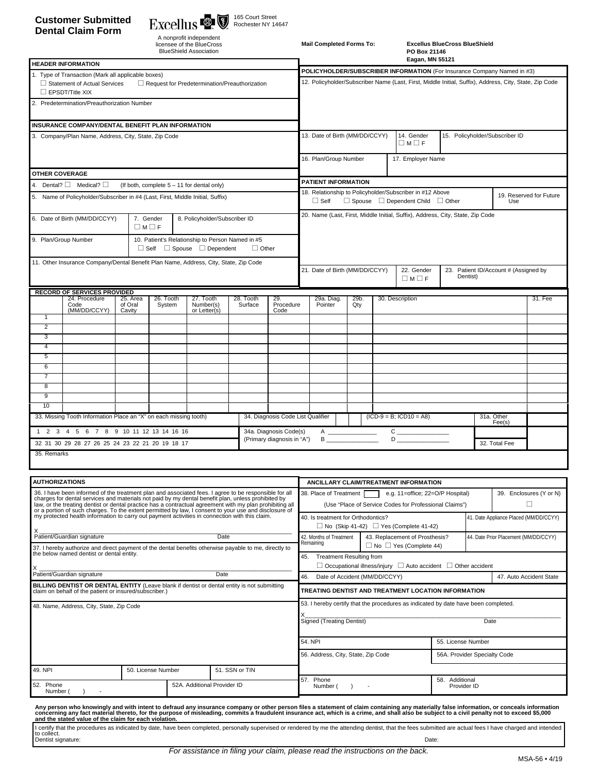# **Customer Submitted Dental Claim Form**

165 Court Street Rochester NY 14647

| A nonprofit independent       |
|-------------------------------|
| licensee of the BlueCross     |
| <b>BlueShield Association</b> |

| <b>Mail Completed Forms To:</b> | <b>Excellus</b> |
|---------------------------------|-----------------|
|                                 | PO Box          |
|                                 |                 |

**Mail Completed Forms To: Excellus BlueCross BlueShield PO Box 21146** 

| <b>HEADER INFORMATION</b>                                                                                                                                                                                                                                                                                               |                                            |                      |                                                                                                        | Eagan, MN 55121                                                                                                                                                |  |  |                                |         |  |                                       |  |
|-------------------------------------------------------------------------------------------------------------------------------------------------------------------------------------------------------------------------------------------------------------------------------------------------------------------------|--------------------------------------------|----------------------|--------------------------------------------------------------------------------------------------------|----------------------------------------------------------------------------------------------------------------------------------------------------------------|--|--|--------------------------------|---------|--|---------------------------------------|--|
| 1. Type of Transaction (Mark all applicable boxes)                                                                                                                                                                                                                                                                      |                                            |                      |                                                                                                        | POLICYHOLDER/SUBSCRIBER INFORMATION (For Insurance Company Named in #3)                                                                                        |  |  |                                |         |  |                                       |  |
| Statement of Actual Services<br>$\Box$ Request for Predetermination/Preauthorization<br>$\Box$ EPSDT/Title XIX                                                                                                                                                                                                          |                                            |                      | 12. Policyholder/Subscriber Name (Last, First, Middle Initial, Suffix), Address, City, State, Zip Code |                                                                                                                                                                |  |  |                                |         |  |                                       |  |
| Predetermination/Preauthorization Number                                                                                                                                                                                                                                                                                |                                            |                      |                                                                                                        |                                                                                                                                                                |  |  |                                |         |  |                                       |  |
| INSURANCE COMPANY/DENTAL BENEFIT PLAN INFORMATION                                                                                                                                                                                                                                                                       |                                            |                      |                                                                                                        |                                                                                                                                                                |  |  |                                |         |  |                                       |  |
| 3. Company/Plan Name, Address, City, State, Zip Code                                                                                                                                                                                                                                                                    |                                            |                      |                                                                                                        | 13. Date of Birth (MM/DD/CCYY)<br>14. Gender<br>15. Policyholder/Subscriber ID<br>$\Box M \Box F$                                                              |  |  |                                |         |  |                                       |  |
|                                                                                                                                                                                                                                                                                                                         |                                            |                      |                                                                                                        | 16. Plan/Group Number<br>17. Employer Name                                                                                                                     |  |  |                                |         |  |                                       |  |
| <b>OTHER COVERAGE</b>                                                                                                                                                                                                                                                                                                   |                                            |                      |                                                                                                        |                                                                                                                                                                |  |  |                                |         |  |                                       |  |
| 4. Dental? $\Box$ Medical? $\Box$<br>(If both, complete 5 - 11 for dental only)                                                                                                                                                                                                                                         |                                            |                      |                                                                                                        | <b>PATIENT INFORMATION</b>                                                                                                                                     |  |  |                                |         |  |                                       |  |
| 5. Name of Policyholder/Subscriber in #4 (Last, First, Middle Initial, Suffix)                                                                                                                                                                                                                                          |                                            |                      |                                                                                                        | 18. Relationship to Policyholder/Subscriber in #12 Above<br>19. Reserved for Future<br>$\Box$ Spouse $\Box$ Dependent Child $\Box$ Other<br>$\Box$ Self<br>Use |  |  |                                |         |  |                                       |  |
| 6. Date of Birth (MM/DD/CCYY)<br>7. Gender<br>$\Box M \Box F$                                                                                                                                                                                                                                                           | 8. Policyholder/Subscriber ID              |                      |                                                                                                        | 20. Name (Last, First, Middle Initial, Suffix), Address, City, State, Zip Code                                                                                 |  |  |                                |         |  |                                       |  |
| 10. Patient's Relationship to Person Named in #5<br>9. Plan/Group Number                                                                                                                                                                                                                                                | $\Box$ Self $\Box$ Spouse $\Box$ Dependent | $\Box$ Other         |                                                                                                        |                                                                                                                                                                |  |  |                                |         |  |                                       |  |
| 11. Other Insurance Company/Dental Benefit Plan Name, Address, City, State, Zip Code                                                                                                                                                                                                                                    |                                            |                      |                                                                                                        | 21. Date of Birth (MM/DD/CCYY)<br>22. Gender<br>23. Patient ID/Account # (Assigned by<br>Dentist)<br>$\Box M \Box F$                                           |  |  |                                |         |  |                                       |  |
| <b>RECORD OF SERVICES PROVIDED</b>                                                                                                                                                                                                                                                                                      |                                            |                      |                                                                                                        |                                                                                                                                                                |  |  |                                |         |  |                                       |  |
| 24. Procedure<br>25. Area<br>26. Tooth<br>Code<br>of Oral<br>System<br>(MM/DD/CCYY)<br>Cavity                                                                                                                                                                                                                           | 27. Tooth<br>Number(s)<br>or Letter(s)     | 28. Tooth<br>Surface | 29.<br>Procedure<br>Code                                                                               | 30. Description<br>29a. Diag.<br>29b.<br>Pointer<br>Qty                                                                                                        |  |  |                                | 31. Fee |  |                                       |  |
| 1<br>$\overline{2}$                                                                                                                                                                                                                                                                                                     |                                            |                      |                                                                                                        |                                                                                                                                                                |  |  |                                |         |  |                                       |  |
| 3                                                                                                                                                                                                                                                                                                                       |                                            |                      |                                                                                                        |                                                                                                                                                                |  |  |                                |         |  |                                       |  |
| 4                                                                                                                                                                                                                                                                                                                       |                                            |                      |                                                                                                        |                                                                                                                                                                |  |  |                                |         |  |                                       |  |
| 5                                                                                                                                                                                                                                                                                                                       |                                            |                      |                                                                                                        |                                                                                                                                                                |  |  |                                |         |  |                                       |  |
| 6<br>7                                                                                                                                                                                                                                                                                                                  |                                            |                      |                                                                                                        |                                                                                                                                                                |  |  |                                |         |  |                                       |  |
| 8                                                                                                                                                                                                                                                                                                                       |                                            |                      |                                                                                                        |                                                                                                                                                                |  |  |                                |         |  |                                       |  |
| 9                                                                                                                                                                                                                                                                                                                       |                                            |                      |                                                                                                        |                                                                                                                                                                |  |  |                                |         |  |                                       |  |
| 10                                                                                                                                                                                                                                                                                                                      |                                            |                      |                                                                                                        |                                                                                                                                                                |  |  |                                |         |  |                                       |  |
| 33. Missing Tooth Information Place an "X" on each missing tooth)                                                                                                                                                                                                                                                       |                                            |                      |                                                                                                        | 34. Diagnosis Code List Qualifier<br>$(ICD-9 = B; ICD10 = AB)$<br>31a. Other<br>Fee(s)                                                                         |  |  |                                |         |  |                                       |  |
| $\mathbf{C}$<br>1 2 3 4 5 6 7 8 9 10 11 12 13 14 16 16<br>34a. Diagnosis Code(s)<br>A                                                                                                                                                                                                                                   |                                            |                      |                                                                                                        |                                                                                                                                                                |  |  |                                |         |  |                                       |  |
| 32 31 30 29 28 27 26 25 24 23 22 21 20 19 18 17                                                                                                                                                                                                                                                                         |                                            |                      | (Primary diagnosis in "A")                                                                             | В                                                                                                                                                              |  |  | D                              |         |  | 32. Total Fee                         |  |
| 35. Remarks                                                                                                                                                                                                                                                                                                             |                                            |                      |                                                                                                        |                                                                                                                                                                |  |  |                                |         |  |                                       |  |
| <b>AUTHORIZATIONS</b>                                                                                                                                                                                                                                                                                                   |                                            |                      |                                                                                                        |                                                                                                                                                                |  |  |                                |         |  |                                       |  |
| 36. I have been informed of the treatment plan and associated fees. I agree to be responsible for all                                                                                                                                                                                                                   |                                            |                      |                                                                                                        | ANCILLARY CLAIM/TREATMENT INFORMATION<br>e.g. 11=office; 22=O/P Hospital)<br>39. Enclosures (Y or N)<br>38. Place of Treatment                                 |  |  |                                |         |  |                                       |  |
| charges for dental services and materials not paid by my dental benefit plan, unless prohibited by<br>law, or the treating dentist or dental practice has a contractual agreement with my plan prohibiting all<br>or a portion of such charges. To the extent permitted by law, I consent to your use and disclosure of |                                            |                      | □<br>(Use "Place of Service Codes for Professional Claims")                                            |                                                                                                                                                                |  |  |                                |         |  |                                       |  |
| my protected health information to carry out payment activities in connection with this claim.                                                                                                                                                                                                                          |                                            |                      |                                                                                                        | 41. Date Appliance Placed (MM/DD/CCYY)<br>40. Is treatment for Orthodontics?<br>$\Box$ No (Skip 41-42) $\Box$ Yes (Complete 41-42)                             |  |  |                                |         |  |                                       |  |
| Patient/Guardian signature<br>Date                                                                                                                                                                                                                                                                                      |                                            |                      |                                                                                                        | 42. Months of Treatment<br>Remaining                                                                                                                           |  |  | 43. Replacement of Prosthesis? |         |  | 44. Date Prior Placement (MM/DD/CCYY) |  |
| 37. I hereby authorize and direct payment of the dental benefits otherwise payable to me, directly to<br>the below named dentist or dental entity.                                                                                                                                                                      |                                            |                      |                                                                                                        | $\Box$ No $\Box$ Yes (Complete 44)<br><b>Treatment Resulting from</b><br>45.<br>$\Box$ Occupational illness/iniury $\Box$ Auto accident $\Box$ Other accident  |  |  |                                |         |  |                                       |  |
| Patient/Guardian signature<br>Date                                                                                                                                                                                                                                                                                      |                                            |                      |                                                                                                        | Date of Accident (MM/DD/CCYY)<br>46.<br>47. Auto Accident State                                                                                                |  |  |                                |         |  |                                       |  |
| BILLING DENTIST OR DENTAL ENTITY (Leave blank if dentist or dental entity is not submitting<br>claim on behalf of the patient or insured/subscriber.)                                                                                                                                                                   |                                            |                      | TREATING DENTIST AND TREATMENT LOCATION INFORMATION                                                    |                                                                                                                                                                |  |  |                                |         |  |                                       |  |

| <b>BILLING DENTIST OR DENTAL ENTITY</b> (Leave blank if dentist or dental entity is not submitting<br>claim on behalf of the patient or insured/subscriber.) |                    |                             |                | TREATING DENTIST AND TREATMENT LOCATION INFORMATION                                                                     |                                  |  |  |  |
|--------------------------------------------------------------------------------------------------------------------------------------------------------------|--------------------|-----------------------------|----------------|-------------------------------------------------------------------------------------------------------------------------|----------------------------------|--|--|--|
| 48. Name, Address, City, State, Zip Code                                                                                                                     |                    |                             |                | 53. I hereby certify that the procedures as indicated by date have been completed.<br>Signed (Treating Dentist)<br>Date |                                  |  |  |  |
|                                                                                                                                                              |                    |                             |                | 54. NPI                                                                                                                 | 55. License Number               |  |  |  |
|                                                                                                                                                              |                    |                             |                | 56. Address, City, State, Zip Code                                                                                      | 56A. Provider Specialty Code     |  |  |  |
| 49. NPI                                                                                                                                                      | 50. License Number |                             | 51. SSN or TIN |                                                                                                                         |                                  |  |  |  |
| 52. Phone<br>Number (                                                                                                                                        |                    | 52A. Additional Provider ID |                | 57. Phone<br>Number (<br>$\overline{\phantom{a}}$                                                                       | Additional<br>58.<br>Provider ID |  |  |  |

Any person who knowingly and with intent to defraud any insurance company or other person files a statement of claim containing any materially false information, or conceals information<br>concerning any fact material thereto

l certify that the procedures as indicated by date, have been completed, personally supervised or rendered by me the attending dentist, that the fees submitted are actual fees I have charged and intended<br>to collect.<br>Dentis